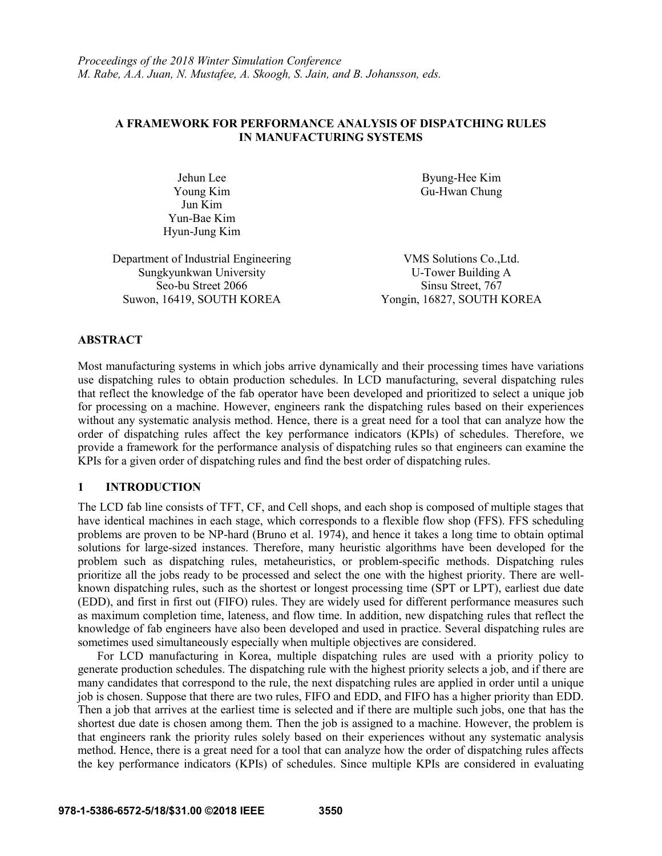### **A FRAMEWORK FOR PERFORMANCE ANALYSIS OF DISPATCHING RULES IN MANUFACTURING SYSTEMS**

Jehun Lee Young Kim Jun Kim Yun-Bae Kim Hyun-Jung Kim Byung-Hee Kim Gu-Hwan Chung

Department of Industrial Engineering VMS Solutions Co.,Ltd. Sungkyunkwan University<br>
Seo-bu Street 2066<br>
Sinsu Street, 767 Seo-bu Street 2066 Suwon, 16419, SOUTH KOREA Yongin, 16827, SOUTH KOREA

### **ABSTRACT**

Most manufacturing systems in which jobs arrive dynamically and their processing times have variations use dispatching rules to obtain production schedules. In LCD manufacturing, several dispatching rules that reflect the knowledge of the fab operator have been developed and prioritized to select a unique job for processing on a machine. However, engineers rank the dispatching rules based on their experiences without any systematic analysis method. Hence, there is a great need for a tool that can analyze how the order of dispatching rules affect the key performance indicators (KPIs) of schedules. Therefore, we provide a framework for the performance analysis of dispatching rules so that engineers can examine the KPIs for a given order of dispatching rules and find the best order of dispatching rules.

### **1 INTRODUCTION**

The LCD fab line consists of TFT, CF, and Cell shops, and each shop is composed of multiple stages that have identical machines in each stage, which corresponds to a flexible flow shop (FFS). FFS scheduling problems are proven to be NP-hard (Bruno et al. 1974), and hence it takes a long time to obtain optimal solutions for large-sized instances. Therefore, many heuristic algorithms have been developed for the problem such as dispatching rules, metaheuristics, or problem-specific methods. Dispatching rules prioritize all the jobs ready to be processed and select the one with the highest priority. There are wellknown dispatching rules, such as the shortest or longest processing time (SPT or LPT), earliest due date (EDD), and first in first out (FIFO) rules. They are widely used for different performance measures such as maximum completion time, lateness, and flow time. In addition, new dispatching rules that reflect the knowledge of fab engineers have also been developed and used in practice. Several dispatching rules are sometimes used simultaneously especially when multiple objectives are considered.

For LCD manufacturing in Korea, multiple dispatching rules are used with a priority policy to generate production schedules. The dispatching rule with the highest priority selects a job, and if there are many candidates that correspond to the rule, the next dispatching rules are applied in order until a unique job is chosen. Suppose that there are two rules, FIFO and EDD, and FIFO has a higher priority than EDD. Then a job that arrives at the earliest time is selected and if there are multiple such jobs, one that has the shortest due date is chosen among them. Then the job is assigned to a machine. However, the problem is that engineers rank the priority rules solely based on their experiences without any systematic analysis method. Hence, there is a great need for a tool that can analyze how the order of dispatching rules affects the key performance indicators (KPIs) of schedules. Since multiple KPIs are considered in evaluating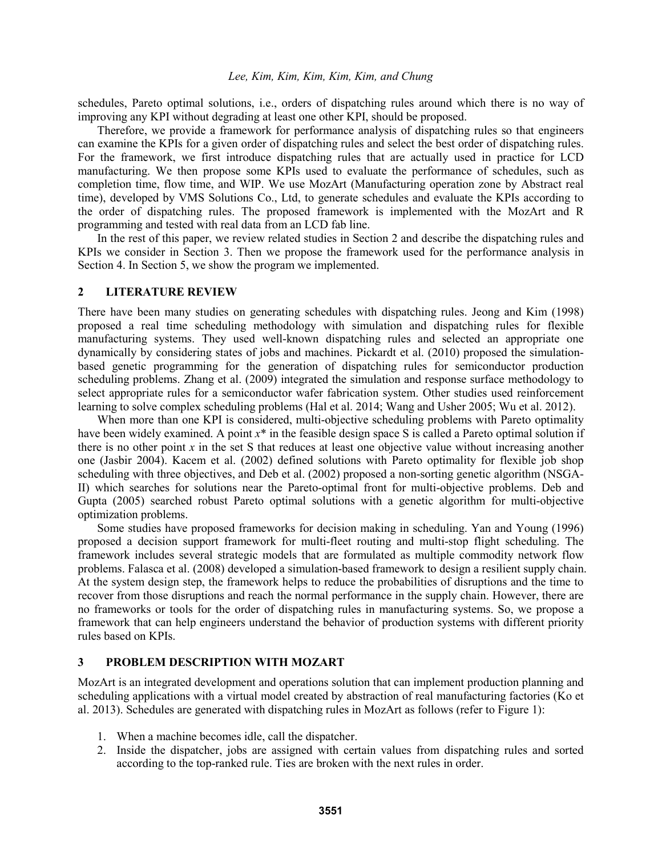schedules, Pareto optimal solutions, i.e., orders of dispatching rules around which there is no way of improving any KPI without degrading at least one other KPI, should be proposed.

Therefore, we provide a framework for performance analysis of dispatching rules so that engineers can examine the KPIs for a given order of dispatching rules and select the best order of dispatching rules. For the framework, we first introduce dispatching rules that are actually used in practice for LCD manufacturing. We then propose some KPIs used to evaluate the performance of schedules, such as completion time, flow time, and WIP. We use MozArt (Manufacturing operation zone by Abstract real time), developed by VMS Solutions Co., Ltd, to generate schedules and evaluate the KPIs according to the order of dispatching rules. The proposed framework is implemented with the MozArt and R programming and tested with real data from an LCD fab line.

In the rest of this paper, we review related studies in Section 2 and describe the dispatching rules and KPIs we consider in Section 3. Then we propose the framework used for the performance analysis in Section 4. In Section 5, we show the program we implemented.

#### **2 LITERATURE REVIEW**

There have been many studies on generating schedules with dispatching rules. Jeong and Kim (1998) proposed a real time scheduling methodology with simulation and dispatching rules for flexible manufacturing systems. They used well-known dispatching rules and selected an appropriate one dynamically by considering states of jobs and machines. Pickardt et al. (2010) proposed the simulationbased genetic programming for the generation of dispatching rules for semiconductor production scheduling problems. Zhang et al. (2009) integrated the simulation and response surface methodology to select appropriate rules for a semiconductor wafer fabrication system. Other studies used reinforcement learning to solve complex scheduling problems (Hal et al. 2014; Wang and Usher 2005; Wu et al. 2012).

When more than one KPI is considered, multi-objective scheduling problems with Pareto optimality have been widely examined. A point  $x^*$  in the feasible design space S is called a Pareto optimal solution if there is no other point *x* in the set S that reduces at least one objective value without increasing another one (Jasbir 2004). Kacem et al. (2002) defined solutions with Pareto optimality for flexible job shop scheduling with three objectives, and Deb et al. (2002) proposed a non-sorting genetic algorithm (NSGA-II) which searches for solutions near the Pareto-optimal front for multi-objective problems. Deb and Gupta (2005) searched robust Pareto optimal solutions with a genetic algorithm for multi-objective optimization problems.

Some studies have proposed frameworks for decision making in scheduling. Yan and Young (1996) proposed a decision support framework for multi-fleet routing and multi-stop flight scheduling. The framework includes several strategic models that are formulated as multiple commodity network flow problems. Falasca et al. (2008) developed a simulation-based framework to design a resilient supply chain. At the system design step, the framework helps to reduce the probabilities of disruptions and the time to recover from those disruptions and reach the normal performance in the supply chain. However, there are no frameworks or tools for the order of dispatching rules in manufacturing systems. So, we propose a framework that can help engineers understand the behavior of production systems with different priority rules based on KPIs.

### **3 PROBLEM DESCRIPTION WITH MOZART**

MozArt is an integrated development and operations solution that can implement production planning and scheduling applications with a virtual model created by abstraction of real manufacturing factories (Ko et al. 2013). Schedules are generated with dispatching rules in MozArt as follows (refer to Figure 1):

- 1. When a machine becomes idle, call the dispatcher.
- 2. Inside the dispatcher, jobs are assigned with certain values from dispatching rules and sorted according to the top-ranked rule. Ties are broken with the next rules in order.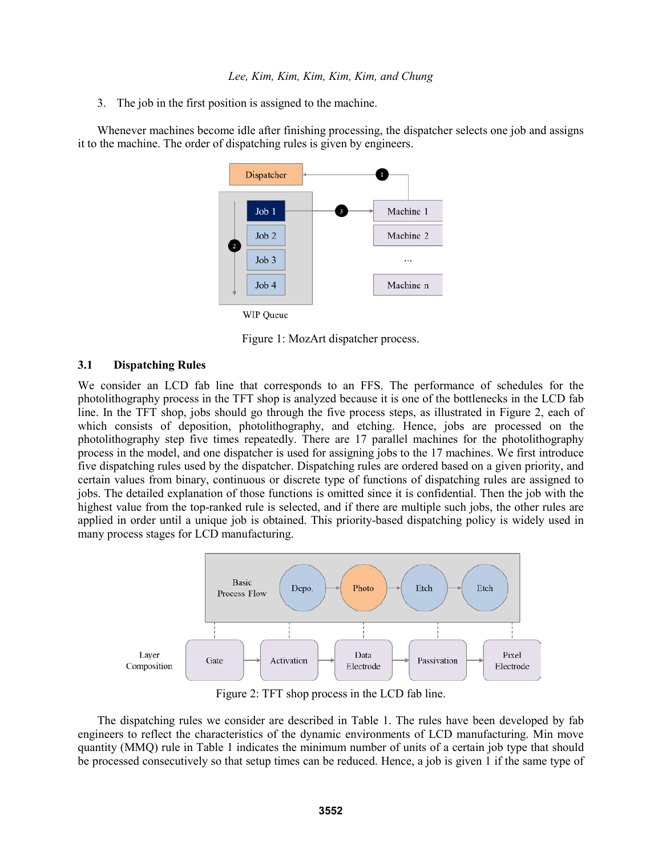3. The job in the first position is assigned to the machine.

Whenever machines become idle after finishing processing, the dispatcher selects one job and assigns it to the machine. The order of dispatching rules is given by engineers.



WIP Queue

Figure 1: MozArt dispatcher process.

### **3.1 Dispatching Rules**

We consider an LCD fab line that corresponds to an FFS. The performance of schedules for the photolithography process in the TFT shop is analyzed because it is one of the bottlenecks in the LCD fab line. In the TFT shop, jobs should go through the five process steps, as illustrated in Figure 2, each of which consists of deposition, photolithography, and etching. Hence, jobs are processed on the photolithography step five times repeatedly. There are 17 parallel machines for the photolithography process in the model, and one dispatcher is used for assigning jobs to the 17 machines. We first introduce five dispatching rules used by the dispatcher. Dispatching rules are ordered based on a given priority, and certain values from binary, continuous or discrete type of functions of dispatching rules are assigned to jobs. The detailed explanation of those functions is omitted since it is confidential. Then the job with the highest value from the top-ranked rule is selected, and if there are multiple such jobs, the other rules are applied in order until a unique job is obtained. This priority-based dispatching policy is widely used in many process stages for LCD manufacturing.



Figure 2: TFT shop process in the LCD fab line.

The dispatching rules we consider are described in Table 1. The rules have been developed by fab engineers to reflect the characteristics of the dynamic environments of LCD manufacturing. Min move quantity (MMQ) rule in Table 1 indicates the minimum number of units of a certain job type that should be processed consecutively so that setup times can be reduced. Hence, a job is given 1 if the same type of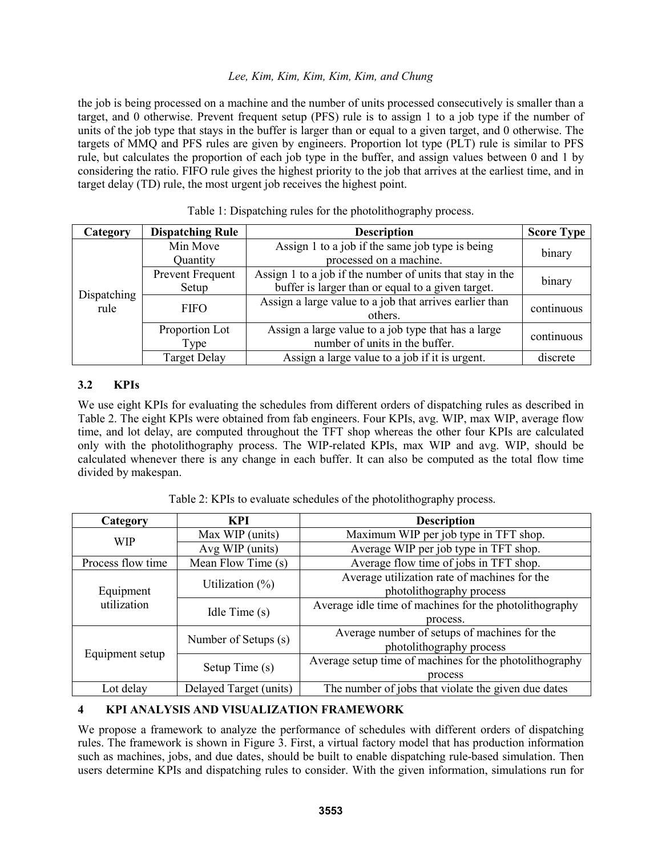the job is being processed on a machine and the number of units processed consecutively is smaller than a target, and 0 otherwise. Prevent frequent setup (PFS) rule is to assign 1 to a job type if the number of units of the job type that stays in the buffer is larger than or equal to a given target, and 0 otherwise. The targets of MMQ and PFS rules are given by engineers. Proportion lot type (PLT) rule is similar to PFS rule, but calculates the proportion of each job type in the buffer, and assign values between 0 and 1 by considering the ratio. FIFO rule gives the highest priority to the job that arrives at the earliest time, and in target delay (TD) rule, the most urgent job receives the highest point.

| Category            | <b>Dispatching Rule</b>   | <b>Description</b>                                                                                             | <b>Score Type</b> |
|---------------------|---------------------------|----------------------------------------------------------------------------------------------------------------|-------------------|
|                     | Min Move<br>Quantity      | Assign 1 to a job if the same job type is being<br>processed on a machine.                                     | binary            |
|                     | Prevent Frequent<br>Setup | Assign 1 to a job if the number of units that stay in the<br>buffer is larger than or equal to a given target. | binary            |
| Dispatching<br>rule | <b>FIFO</b>               | Assign a large value to a job that arrives earlier than<br>others.                                             | continuous        |
|                     | Proportion Lot<br>Type    | Assign a large value to a job type that has a large<br>number of units in the buffer.                          | continuous        |
|                     | <b>Target Delay</b>       | Assign a large value to a job if it is urgent.                                                                 | discrete          |

Table 1: Dispatching rules for the photolithography process.

# **3.2 KPIs**

We use eight KPIs for evaluating the schedules from different orders of dispatching rules as described in Table 2. The eight KPIs were obtained from fab engineers. Four KPIs, avg. WIP, max WIP, average flow time, and lot delay, are computed throughout the TFT shop whereas the other four KPIs are calculated only with the photolithography process. The WIP-related KPIs, max WIP and avg. WIP, should be calculated whenever there is any change in each buffer. It can also be computed as the total flow time divided by makespan.

| Category          | <b>KPI</b>             | <b>Description</b>                                      |  |  |  |  |  |
|-------------------|------------------------|---------------------------------------------------------|--|--|--|--|--|
| <b>WIP</b>        | Max WIP (units)        | Maximum WIP per job type in TFT shop.                   |  |  |  |  |  |
|                   | Avg WIP (units)        | Average WIP per job type in TFT shop.                   |  |  |  |  |  |
| Process flow time | Mean Flow Time (s)     | Average flow time of jobs in TFT shop.                  |  |  |  |  |  |
|                   | Utilization $(\%)$     | Average utilization rate of machines for the            |  |  |  |  |  |
| Equipment         |                        | photolithography process                                |  |  |  |  |  |
| utilization       | Idle Time $(s)$        | Average idle time of machines for the photolithography  |  |  |  |  |  |
|                   |                        | process.                                                |  |  |  |  |  |
|                   | Number of Setups (s)   | Average number of setups of machines for the            |  |  |  |  |  |
|                   |                        | photolithography process                                |  |  |  |  |  |
| Equipment setup   |                        | Average setup time of machines for the photolithography |  |  |  |  |  |
|                   | Setup Time (s)         | process                                                 |  |  |  |  |  |
| Lot delay         | Delayed Target (units) | The number of jobs that violate the given due dates     |  |  |  |  |  |

Table 2: KPIs to evaluate schedules of the photolithography process.

# **4 KPI ANALYSIS AND VISUALIZATION FRAMEWORK**

We propose a framework to analyze the performance of schedules with different orders of dispatching rules. The framework is shown in Figure 3. First, a virtual factory model that has production information such as machines, jobs, and due dates, should be built to enable dispatching rule-based simulation. Then users determine KPIs and dispatching rules to consider. With the given information, simulations run for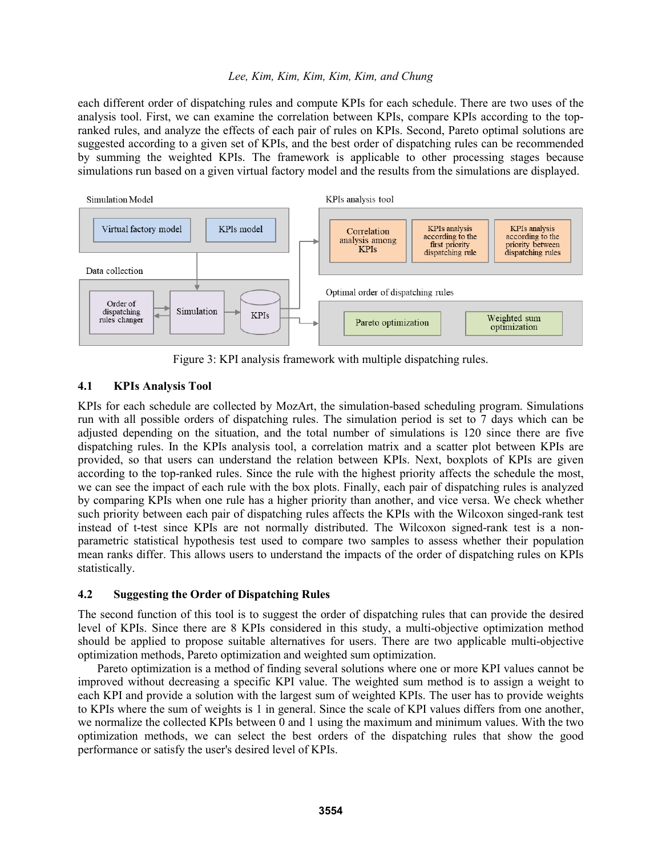each different order of dispatching rules and compute KPIs for each schedule. There are two uses of the analysis tool. First, we can examine the correlation between KPIs, compare KPIs according to the topranked rules, and analyze the effects of each pair of rules on KPIs. Second, Pareto optimal solutions are suggested according to a given set of KPIs, and the best order of dispatching rules can be recommended by summing the weighted KPIs. The framework is applicable to other processing stages because simulations run based on a given virtual factory model and the results from the simulations are displayed.



Figure 3: KPI analysis framework with multiple dispatching rules.

# **4.1 KPIs Analysis Tool**

KPIs for each schedule are collected by MozArt, the simulation-based scheduling program. Simulations run with all possible orders of dispatching rules. The simulation period is set to 7 days which can be adjusted depending on the situation, and the total number of simulations is 120 since there are five dispatching rules. In the KPIs analysis tool, a correlation matrix and a scatter plot between KPIs are provided, so that users can understand the relation between KPIs. Next, boxplots of KPIs are given according to the top-ranked rules. Since the rule with the highest priority affects the schedule the most, we can see the impact of each rule with the box plots. Finally, each pair of dispatching rules is analyzed by comparing KPIs when one rule has a higher priority than another, and vice versa. We check whether such priority between each pair of dispatching rules affects the KPIs with the Wilcoxon singed-rank test instead of t-test since KPIs are not normally distributed. The Wilcoxon signed-rank test is a nonparametric statistical hypothesis test used to compare two samples to assess whether their population mean ranks differ. This allows users to understand the impacts of the order of dispatching rules on KPIs statistically.

### **4.2 Suggesting the Order of Dispatching Rules**

The second function of this tool is to suggest the order of dispatching rules that can provide the desired level of KPIs. Since there are 8 KPIs considered in this study, a multi-objective optimization method should be applied to propose suitable alternatives for users. There are two applicable multi-objective optimization methods, Pareto optimization and weighted sum optimization.

Pareto optimization is a method of finding several solutions where one or more KPI values cannot be improved without decreasing a specific KPI value. The weighted sum method is to assign a weight to each KPI and provide a solution with the largest sum of weighted KPIs. The user has to provide weights to KPIs where the sum of weights is 1 in general. Since the scale of KPI values differs from one another, we normalize the collected KPIs between 0 and 1 using the maximum and minimum values. With the two optimization methods, we can select the best orders of the dispatching rules that show the good performance or satisfy the user's desired level of KPIs.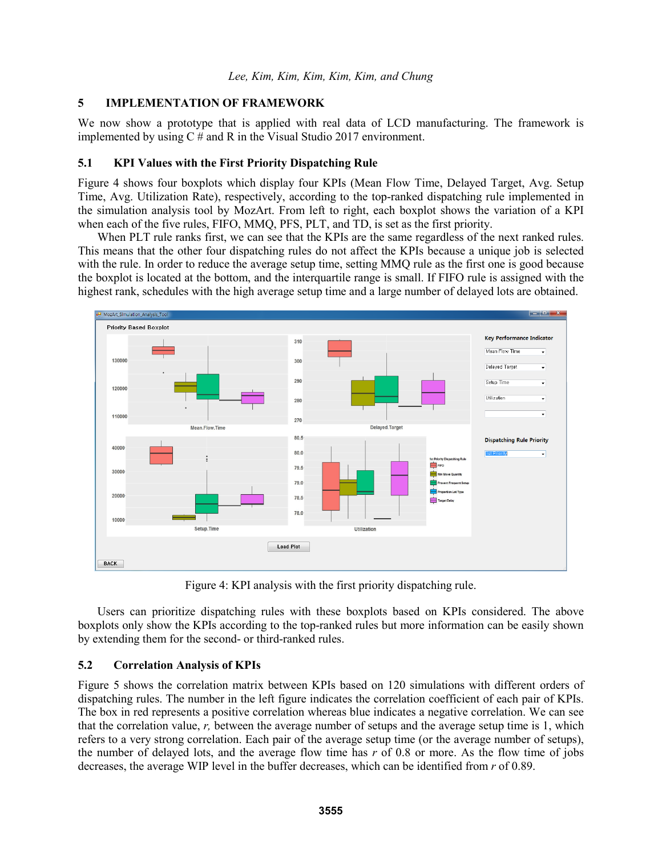### **5 IMPLEMENTATION OF FRAMEWORK**

We now show a prototype that is applied with real data of LCD manufacturing. The framework is implemented by using C # and R in the Visual Studio 2017 environment.

# **5.1 KPI Values with the First Priority Dispatching Rule**

Figure 4 shows four boxplots which display four KPIs (Mean Flow Time, Delayed Target, Avg. Setup Time, Avg. Utilization Rate), respectively, according to the top-ranked dispatching rule implemented in the simulation analysis tool by MozArt. From left to right, each boxplot shows the variation of a KPI when each of the five rules, FIFO, MMQ, PFS, PLT, and TD, is set as the first priority.

When PLT rule ranks first, we can see that the KPIs are the same regardless of the next ranked rules. This means that the other four dispatching rules do not affect the KPIs because a unique job is selected with the rule. In order to reduce the average setup time, setting MMQ rule as the first one is good because the boxplot is located at the bottom, and the interquartile range is small. If FIFO rule is assigned with the highest rank, schedules with the high average setup time and a large number of delayed lots are obtained.



Figure 4: KPI analysis with the first priority dispatching rule.

Users can prioritize dispatching rules with these boxplots based on KPIs considered. The above boxplots only show the KPIs according to the top-ranked rules but more information can be easily shown by extending them for the second- or third-ranked rules.

# **5.2 Correlation Analysis of KPIs**

Figure 5 shows the correlation matrix between KPIs based on 120 simulations with different orders of dispatching rules. The number in the left figure indicates the correlation coefficient of each pair of KPIs. The box in red represents a positive correlation whereas blue indicates a negative correlation. We can see that the correlation value, *r,* between the average number of setups and the average setup time is 1, which refers to a very strong correlation. Each pair of the average setup time (or the average number of setups), the number of delayed lots, and the average flow time has *r* of 0.8 or more. As the flow time of jobs decreases, the average WIP level in the buffer decreases, which can be identified from *r* of 0.89.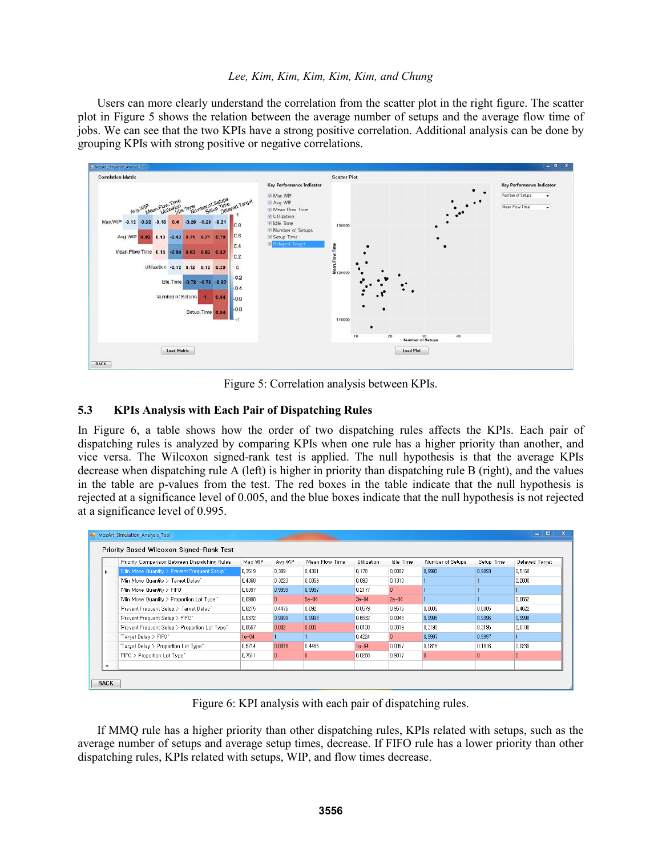Users can more clearly understand the correlation from the scatter plot in the right figure. The scatter plot in Figure 5 shows the relation between the average number of setups and the average flow time of jobs. We can see that the two KPIs have a strong positive correlation. Additional analysis can be done by grouping KPIs with strong positive or negative correlations.



Figure 5: Correlation analysis between KPIs.

# **5.3 KPIs Analysis with Each Pair of Dispatching Rules**

In Figure 6, a table shows how the order of two dispatching rules affects the KPIs. Each pair of dispatching rules is analyzed by comparing KPIs when one rule has a higher priority than another, and vice versa. The Wilcoxon signed-rank test is applied. The null hypothesis is that the average KPIs decrease when dispatching rule A (left) is higher in priority than dispatching rule B (right), and the values in the table are p-values from the test. The red boxes in the table indicate that the null hypothesis is rejected at a significance level of 0.005, and the blue boxes indicate that the null hypothesis is not rejected at a significance level of 0.995.

|           | Priority Comparison Between Dispatching Rules  | Max WIP | Avg WIP | Mean Flow Time | Utilization | Idle Time | Number of Setups | Setup Time | Delaved Target |
|-----------|------------------------------------------------|---------|---------|----------------|-------------|-----------|------------------|------------|----------------|
|           | "Min Move Quantity > Prevent Frequent Setup"   | 0.3519  | 0.389   | 0.4361         | 0.178       | 0.0087    | 0.9993           | 0.9993     | 0.5168         |
|           | "Min Move Quantity > Target Delay"             | 0.4368  | 0.3223  | 0.0359         | 0.893       | 0.1313    |                  |            | 0.2808         |
|           | "Min Move Quantity > FIFO"                     | 0.0397  | 0.9999  | 0.9997         | 0.2177      | n         |                  |            |                |
|           | "Min Move Quantity > Proportion Lot Type"      | 0,0988  | n.      | $5e-04$        | $3e-04$     | $2e - 04$ |                  |            | 0.0662         |
|           | "Prevent Frequent Setup > Target Delay"        | 0,6215  | 0.4476  | 0,092          | 0.8579      | 0.9516    | 0.8005           | 0.8005     | 0.4622         |
|           | "Prevent Frequent Setup > FIFO"                | 0.0372  | 0.9999  | 0.9998         | 0.6532      | 0.0043    | 0.9996           | 0.9996     | 0.9998         |
|           | "Prevent Frequent Setup > Proportion Lot Type" | 0.0567  | 0.002   | 0.003          | 0.0138      | 0.3819    | 0.3195           | 0.3195     | 0.0108         |
|           | "Target Delay > FIFO"                          | $1e-04$ |         |                | 0.4224      | n         | 0.9997           | 0.9997     |                |
|           | "Target Delay > Proportion Lot Type"           | 0.5714  | 0.0016  | 0.4465         | $1e-04$     | 0.0057    | 0.1816           | 0.1816     | 0.0239         |
|           | "FIFO > Proportion Lot Type"                   | 0.7511  | In.     | O.             | 0.0268      | 0.9817    | 0                | 0          | 0              |
| $\bullet$ |                                                |         |         |                |             |           |                  |            |                |

Figure 6: KPI analysis with each pair of dispatching rules.

If MMQ rule has a higher priority than other dispatching rules, KPIs related with setups, such as the average number of setups and average setup times, decrease. If FIFO rule has a lower priority than other dispatching rules, KPIs related with setups, WIP, and flow times decrease.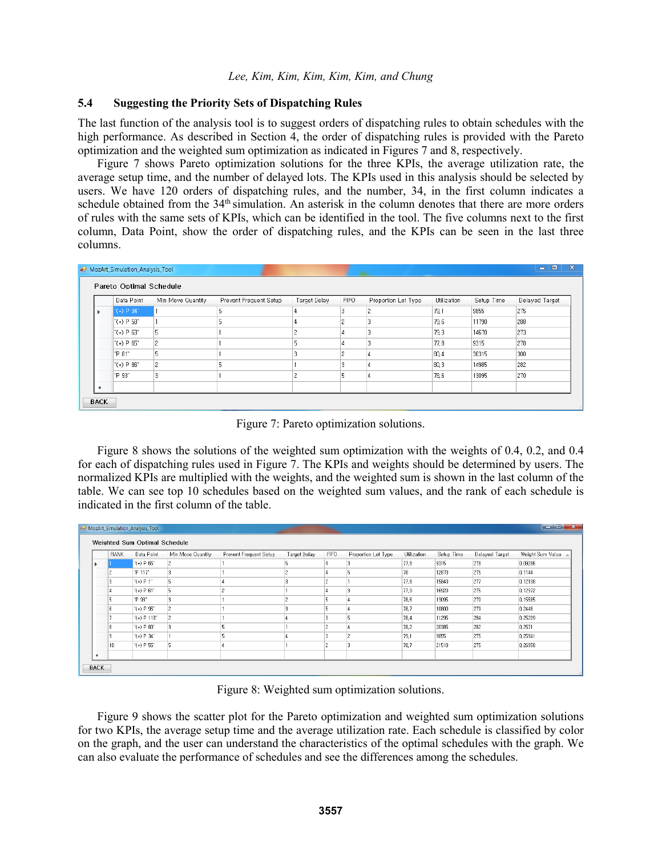#### **5.4 Suggesting the Priority Sets of Dispatching Rules**

The last function of the analysis tool is to suggest orders of dispatching rules to obtain schedules with the high performance. As described in Section 4, the order of dispatching rules is provided with the Pareto optimization and the weighted sum optimization as indicated in Figures 7 and 8, respectively.

Figure 7 shows Pareto optimization solutions for the three KPIs, the average utilization rate, the average setup time, and the number of delayed lots. The KPIs used in this analysis should be selected by users. We have 120 orders of dispatching rules, and the number, 34, in the first column indicates a schedule obtained from the 34<sup>th</sup> simulation. An asterisk in the column denotes that there are more orders of rules with the same sets of KPIs, which can be identified in the tool. The five columns next to the first column, Data Point, show the order of dispatching rules, and the KPIs can be seen in the last three columns.

| Data Point      | Min Move Quantity | Prevent Frequent Setup | Target Delay   | <b>FIFO</b> | Proportion Lot Type | Utilization | Setup Time | Delayed Target |
|-----------------|-------------------|------------------------|----------------|-------------|---------------------|-------------|------------|----------------|
| $"(*)$ P 34"    |                   |                        |                | з           | C.                  | 79.1        | 9855       | 275            |
| " $(*)$ P 58"   |                   |                        |                | o           |                     | 79.6        | 11790      | 288            |
| $^{"(*)}$ P 63" | 5                 |                        | 2              | 4           |                     | 79.3        | 14670      | 273            |
| $(\star)$ P 65" | $\overline{c}$    |                        | 5              |             |                     | 77,8        | 9315       | 278            |
| "P 81"          | 5                 |                        | 3              |             |                     | 80, 4       | 36315      | 300            |
| $(\star)$ P 86" | $\overline{c}$    |                        |                |             |                     | 80,3        | 14985      | 282            |
| "P 93"          |                   |                        | $\overline{c}$ | ıb.         |                     | 78,6        | 13095      | 270            |

Figure 7: Pareto optimization solutions.

Figure 8 shows the solutions of the weighted sum optimization with the weights of 0.4, 0.2, and 0.4 for each of dispatching rules used in Figure 7. The KPIs and weights should be determined by users. The normalized KPIs are multiplied with the weights, and the weighted sum is shown in the last column of the table. We can see top 10 schedules based on the weighted sum values, and the rank of each schedule is indicated in the first column of the table.

| <b>RANK</b> | Data Point                     | Min Move Quantity | Prevent Frequent Setup | Target Delay | FIFO | Proportion Lot Type | Utilization | Setup Time | Delayed Target | Weight Sum Value |
|-------------|--------------------------------|-------------------|------------------------|--------------|------|---------------------|-------------|------------|----------------|------------------|
|             | $^{\circ}$ (*) P 65 $^{\circ}$ | 2                 |                        |              |      | 13                  | 77.8        | 9315       | 278            | 0.09286          |
|             | "P 117"                        | 3                 |                        |              |      | 5                   | 78          | 12870      | 275            | 0,1144           |
|             | $"(*) P1"$                     | 5                 |                        |              |      |                     | 77.8        | 15840      | 277            | 0.12198          |
|             | $^{\circ}$ (*) P 61 $^{\circ}$ | 5                 |                        |              |      | 3                   | 77,9        | 16920      | 275            | 0,12372          |
|             | "P 93"                         | 3                 |                        |              |      |                     | 78.6        | 13095      | 270            | 0.15585          |
| 6           | " $(*)$ P 95"                  | $\overline{c}$    |                        |              |      | 14                  | 78.7        | 10800      | 279            | 0,2448           |
|             | $"(*)$ P 113"                  | $\overline{c}$    |                        |              |      | 5                   | 78.4        | 11295      | 284            | 0.25209          |
| 8           | $(\star)$ P 80 $^{\circ}$      | 3                 |                        |              |      |                     | 78.2        | 20385      | 282            | 0.2571           |
|             | " $(*)$ P 34"                  |                   |                        |              |      | $\overline{c}$      | 79.1        | 9855       | 275            | 0,25941          |
| 10          | $(\star)$ P 55"                | 5                 |                        |              |      | l3                  | 78.7        | 21510      | 275            | 0.26958          |
|             |                                |                   |                        |              |      |                     |             |            |                |                  |

Figure 8: Weighted sum optimization solutions.

Figure 9 shows the scatter plot for the Pareto optimization and weighted sum optimization solutions for two KPIs, the average setup time and the average utilization rate. Each schedule is classified by color on the graph, and the user can understand the characteristics of the optimal schedules with the graph. We can also evaluate the performance of schedules and see the differences among the schedules.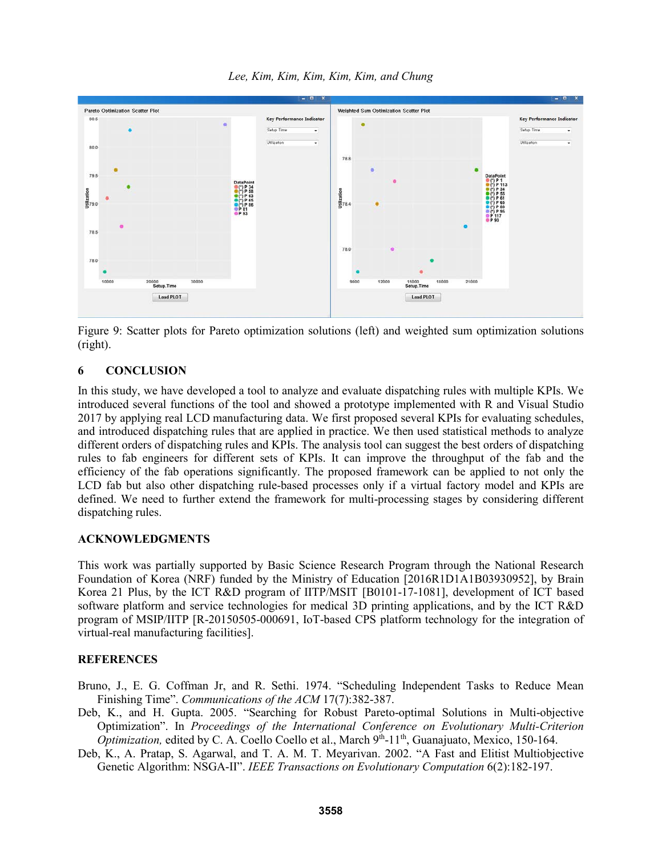*Lee, Kim, Kim, Kim, Kim, Kim, and Chung*



Figure 9: Scatter plots for Pareto optimization solutions (left) and weighted sum optimization solutions (right).

# **6 CONCLUSION**

In this study, we have developed a tool to analyze and evaluate dispatching rules with multiple KPIs. We introduced several functions of the tool and showed a prototype implemented with R and Visual Studio 2017 by applying real LCD manufacturing data. We first proposed several KPIs for evaluating schedules, and introduced dispatching rules that are applied in practice. We then used statistical methods to analyze different orders of dispatching rules and KPIs. The analysis tool can suggest the best orders of dispatching rules to fab engineers for different sets of KPIs. It can improve the throughput of the fab and the efficiency of the fab operations significantly. The proposed framework can be applied to not only the LCD fab but also other dispatching rule-based processes only if a virtual factory model and KPIs are defined. We need to further extend the framework for multi-processing stages by considering different dispatching rules.

### **ACKNOWLEDGMENTS**

This work was partially supported by Basic Science Research Program through the National Research Foundation of Korea (NRF) funded by the Ministry of Education [2016R1D1A1B03930952], by Brain Korea 21 Plus, by the ICT R&D program of IITP/MSIT [B0101-17-1081], development of ICT based software platform and service technologies for medical 3D printing applications, and by the ICT R&D program of MSIP/IITP [R-20150505-000691, IoT-based CPS platform technology for the integration of virtual-real manufacturing facilities].

# **REFERENCES**

Bruno, J., E. G. Coffman Jr, and R. Sethi. 1974. "Scheduling Independent Tasks to Reduce Mean Finishing Time". *Communications of the ACM* 17(7):382-387.

- Deb, K., and H. Gupta. 2005. "Searching for Robust Pareto-optimal Solutions in Multi-objective Optimization". In *Proceedings of the International Conference on Evolutionary Multi-Criterion Optimization, edited by C. A. Coello Coello et al., March* 9<sup>th</sup>-11<sup>th</sup>, Guanajuato, Mexico, 150-164.
- Deb, K., A. Pratap, S. Agarwal, and T. A. M. T. Meyarivan. 2002. "A Fast and Elitist Multiobjective Genetic Algorithm: NSGA-II". *IEEE Transactions on Evolutionary Computation* 6(2):182-197.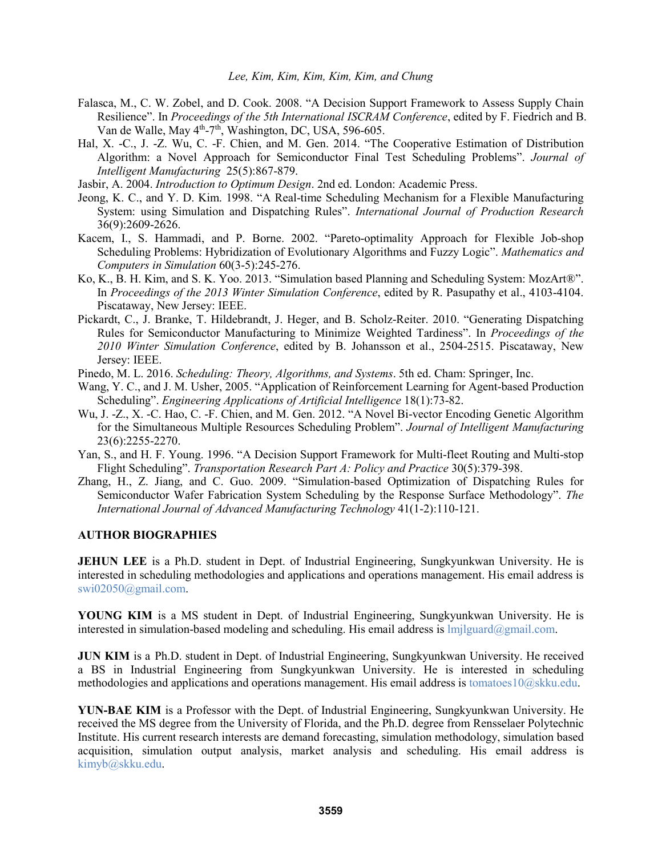- Falasca, M., C. W. Zobel, and D. Cook. 2008. "A Decision Support Framework to Assess Supply Chain Resilience". In *Proceedings of the 5th International ISCRAM Conference*, edited by F. Fiedrich and B. Van de Walle, May 4<sup>th</sup>-7<sup>th</sup>, Washington, DC, USA, 596-605.
- Hal, X. -C., J. -Z. Wu, C. -F. Chien, and M. Gen. 2014. "The Cooperative Estimation of Distribution Algorithm: a Novel Approach for Semiconductor Final Test Scheduling Problems". *Journal of Intelligent Manufacturing* 25(5):867-879.
- Jasbir, A. 2004. *Introduction to Optimum Design*. 2nd ed. London: Academic Press.
- Jeong, K. C., and Y. D. Kim. 1998. "A Real-time Scheduling Mechanism for a Flexible Manufacturing System: using Simulation and Dispatching Rules". *International Journal of Production Research* 36(9):2609-2626.
- Kacem, I., S. Hammadi, and P. Borne. 2002. "Pareto-optimality Approach for Flexible Job-shop Scheduling Problems: Hybridization of Evolutionary Algorithms and Fuzzy Logic". *Mathematics and Computers in Simulation* 60(3-5):245-276.
- Ko, K., B. H. Kim, and S. K. Yoo. 2013. "Simulation based Planning and Scheduling System: MozArt®". In *Proceedings of the 2013 Winter Simulation Conference*, edited by R. Pasupathy et al., 4103-4104. Piscataway, New Jersey: IEEE.
- Pickardt, C., J. Branke, T. Hildebrandt, J. Heger, and B. Scholz-Reiter. 2010. "Generating Dispatching Rules for Semiconductor Manufacturing to Minimize Weighted Tardiness". In *Proceedings of the 2010 Winter Simulation Conference*, edited by B. Johansson et al., 2504-2515. Piscataway, New Jersey: IEEE.
- Pinedo, M. L. 2016. *Scheduling: Theory, Algorithms, and Systems*. 5th ed. Cham: Springer, Inc.
- Wang, Y. C., and J. M. Usher, 2005. "Application of Reinforcement Learning for Agent-based Production Scheduling". *Engineering Applications of Artificial Intelligence* 18(1):73-82.
- Wu, J. -Z., X. -C. Hao, C. -F. Chien, and M. Gen. 2012. "A Novel Bi-vector Encoding Genetic Algorithm for the Simultaneous Multiple Resources Scheduling Problem". *Journal of Intelligent Manufacturing* 23(6):2255-2270.
- Yan, S., and H. F. Young. 1996. "A Decision Support Framework for Multi-fleet Routing and Multi-stop Flight Scheduling". *Transportation Research Part A: Policy and Practice* 30(5):379-398.
- Zhang, H., Z. Jiang, and C. Guo. 2009. "Simulation-based Optimization of Dispatching Rules for Semiconductor Wafer Fabrication System Scheduling by the Response Surface Methodology". *The International Journal of Advanced Manufacturing Technology* 41(1-2):110-121.

### **AUTHOR BIOGRAPHIES**

**JEHUN LEE** is a Ph.D. student in Dept. of Industrial Engineering, Sungkyunkwan University. He is interested in scheduling methodologies and applications and operations management. His email address is swi02050@gmail.com.

**YOUNG KIM** is a MS student in Dept. of Industrial Engineering, Sungkyunkwan University. He is interested in simulation-based modeling and scheduling. His email address is  $lmj|guard|Qgmail.com$ .

**JUN KIM** is a Ph.D. student in Dept. of Industrial Engineering, Sungkyunkwan University. He received a BS in Industrial Engineering from Sungkyunkwan University. He is interested in scheduling methodologies and applications and operations management. His email address is tomatoes10@skku.edu.

**YUN-BAE KIM** is a Professor with the Dept. of Industrial Engineering, Sungkyunkwan University. He received the MS degree from the University of Florida, and the Ph.D. degree from Rensselaer Polytechnic Institute. His current research interests are demand forecasting, simulation methodology, simulation based acquisition, simulation output analysis, market analysis and scheduling. His email address is kimyb@skku.edu.